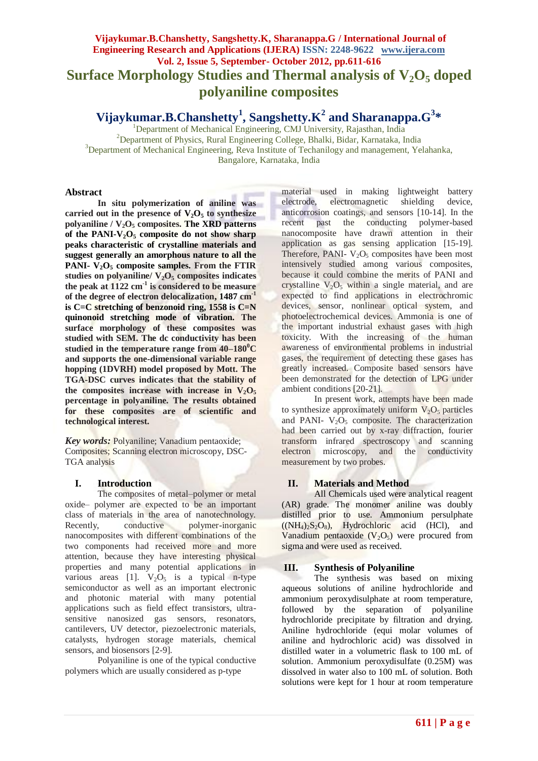# **Vijaykumar.B.Chanshetty, Sangshetty.K, Sharanappa.G / International Journal of Engineering Research and Applications (IJERA) ISSN: 2248-9622 www.ijera.com Vol. 2, Issue 5, September- October 2012, pp.611-616 Surface Morphology Studies and Thermal analysis of V2O<sup>5</sup> doped polyaniline composites**

**Vijaykumar.B.Chanshetty<sup>1</sup> , Sangshetty.K<sup>2</sup> and Sharanappa.G<sup>3</sup> \***

<sup>1</sup>Department of Mechanical Engineering, CMJ University, Rajasthan, India <sup>2</sup>Department of Physics, Rural Engineering College, Bhalki, Bidar, Karnataka, India <sup>3</sup>Department of Mechanical Engineering, Reva Institute of Techanilogy and management, Yelahanka, Bangalore, Karnataka, India

#### **Abstract**

**In situ polymerization of aniline was**  carried out in the presence of  $V_2O_5$  to synthesize polyaniline  $/ V_2O_5$  composites. The XRD patterns of the PANI- $V_2O_5$  composite do not show sharp **peaks characteristic of crystalline materials and suggest generally an amorphous nature to all the PANI- V2O<sup>5</sup> composite samples. From the FTIR studies on polyaniline/ V2O<sup>5</sup> composites indicates the peak at 1122 cm-1 is considered to be measure of the degree of electron delocalization, 1487 cm-1 is C=C stretching of benzonoid ring, 1558 is C=N quinonoid stretching mode of vibration. The surface morphology of these composites was studied with SEM. The dc conductivity has been studied in the temperature range from 40–180 <sup>0</sup>C and supports the one-dimensional variable range hopping (1DVRH) model proposed by Mott. The TGA-DSC curves indicates that the stability of**  the composites increase with increase in  $V_2O_5$ **percentage in polyaniline. The results obtained for these composites are of scientific and technological interest.**

*Key words:* Polyaniline; Vanadium pentaoxide; Composites; Scanning electron microscopy, DSC-TGA analysis

## **I. Introduction**

The composites of metal–polymer or metal oxide– polymer are expected to be an important class of materials in the area of nanotechnology. Recently, conductive polymer-inorganic nanocomposites with different combinations of the two components had received more and more attention, because they have interesting physical properties and many potential applications in various areas [1].  $V_2O_5$  is a typical n-type semiconductor as well as an important electronic and photonic material with many potential applications such as field effect transistors, ultrasensitive nanosized gas sensors, resonators, cantilevers, UV detector, piezoelectronic materials, catalysts, hydrogen storage materials, chemical sensors, and biosensors [2-9].

Polyaniline is one of the typical conductive polymers which are usually considered as p-type

material used in making lightweight battery electrode, electromagnetic shielding device, anticorrosion coatings, and sensors [10-14]. In the recent past the conducting polymer-based nanocomposite have drawn attention in their application as gas sensing application [15-19]. Therefore, PANI-  $V_2O_5$  composites have been most intensively studied among various composites, because it could combine the merits of PANI and crystalline  $V_2O_5$  within a single material, and are expected to find applications in electrochromic devices, sensor, nonlinear optical system, and photoelectrochemical devices. Ammonia is one of the important industrial exhaust gases with high toxicity. With the increasing of the human awareness of environmental problems in industrial gases, the requirement of detecting these gases has greatly increased. Composite based sensors have been demonstrated for the detection of LPG under ambient conditions [20-21].

In present work, attempts have been made to synthesize approximately uniform  $V_2O_5$  particles and PANI-  $V_2O_5$  composite. The characterization had been carried out by x-ray diffraction, fourier transform infrared spectroscopy and scanning electron microscopy, and the conductivity measurement by two probes.

## **II. Materials and Method**

All Chemicals used were analytical reagent (AR) grade. The monomer aniline was doubly distilled prior to use. Ammonium persulphate  $((NH_4)_2S_2O_8)$ , Hydrochloric acid (HCl), and Vanadium pentaoxide  $(V_2O_5)$  were procured from sigma and were used as received.

## **III. Synthesis of Polyaniline**

The synthesis was based on mixing aqueous solutions of aniline hydrochloride and ammonium peroxydisulphate at room temperature, followed by the separation of polyaniline hydrochloride precipitate by filtration and drying. Aniline hydrochloride (equi molar volumes of aniline and hydrochloric acid) was dissolved in distilled water in a volumetric flask to 100 mL of solution. Ammonium peroxydisulfate (0.25M) was dissolved in water also to 100 mL of solution. Both solutions were kept for 1 hour at room temperature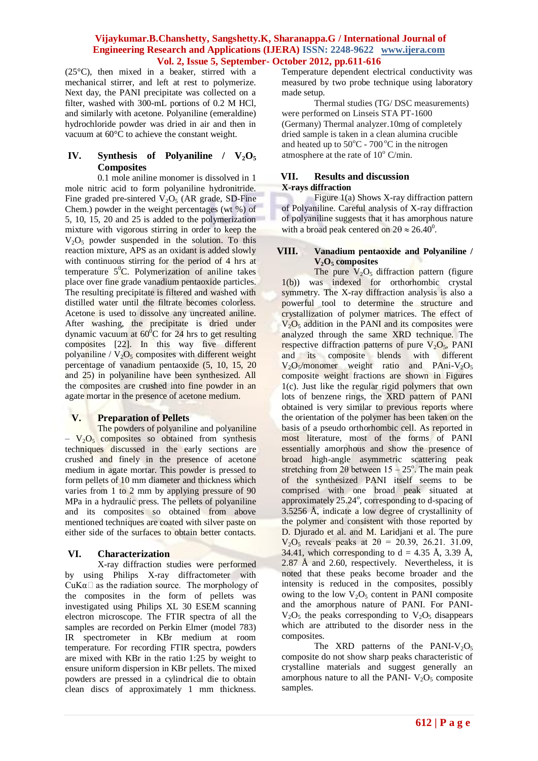(25°C), then mixed in a beaker, stirred with a mechanical stirrer, and left at rest to polymerize. Next day, the PANI precipitate was collected on a filter, washed with 300-mL portions of 0.2 M HCl, and similarly with acetone. Polyaniline (emeraldine) hydrochloride powder was dried in air and then in vacuum at 60°C to achieve the constant weight.

## IV. Synthesis of Polyaniline /  $V_2O_5$ **Composites**

0.1 mole aniline monomer is dissolved in 1 mole nitric acid to form polyaniline hydronitride. Fine graded pre-sintered  $V_2O_5$  (AR grade, SD-Fine Chem.) powder in the weight percentages (wt %) of 5, 10, 15, 20 and 25 is added to the polymerization mixture with vigorous stirring in order to keep the  $V_2O_5$  powder suspended in the solution. To this reaction mixture, APS as an oxidant is added slowly with continuous stirring for the period of 4 hrs at temperature  $5^0C$ . Polymerization of aniline takes place over fine grade vanadium pentaoxide particles. The resulting precipitate is filtered and washed with distilled water until the filtrate becomes colorless. Acetone is used to dissolve any uncreated aniline. After washing, the precipitate is dried under dynamic vacuum at  $60^{\circ}$ C for 24 hrs to get resulting composites [22]. In this way five different polyaniline /  $V_2O_5$  composites with different weight percentage of vanadium pentaoxide (5, 10, 15, 20 and 25) in polyaniline have been synthesized. All the composites are crushed into fine powder in an agate mortar in the presence of acetone medium.

## **V. Preparation of Pellets**

The powders of polyaniline and polyaniline  $-V<sub>2</sub>O<sub>5</sub>$  composites so obtained from synthesis techniques discussed in the early sections are crushed and finely in the presence of acetone medium in agate mortar. This powder is pressed to form pellets of 10 mm diameter and thickness which varies from 1 to 2 mm by applying pressure of 90 MPa in a hydraulic press. The pellets of polyaniline and its composites so obtained from above mentioned techniques are coated with silver paste on either side of the surfaces to obtain better contacts.

## **VI. Characterization**

X-ray diffraction studies were performed by using Philips X-ray diffractometer with  $CuKa\Box$  as the radiation source. The morphology of the composites in the form of pellets was investigated using Philips XL 30 ESEM scanning electron microscope. The FTIR spectra of all the samples are recorded on Perkin Elmer (model 783) IR spectrometer in KBr medium at room temperature. For recording FTIR spectra, powders are mixed with KBr in the ratio 1:25 by weight to ensure uniform dispersion in KBr pellets. The mixed powders are pressed in a cylindrical die to obtain clean discs of approximately 1 mm thickness.

Temperature dependent electrical conductivity was measured by two probe technique using laboratory made setup.

Thermal studies (TG/ DSC measurements) were performed on Linseis STA PT-1600 (Germany) Thermal analyzer.10mg of completely dried sample is taken in a clean alumina crucible and heated up to  $50^{\circ}$ C -  $700^{\circ}$ C in the nitrogen atmosphere at the rate of  $10^{\circ}$  C/min.

#### **VII. Results and discussion X-rays diffraction**

Figure 1(a) Shows X-ray diffraction pattern of Polyaniline. Careful analysis of X-ray diffraction of polyaniline suggests that it has amorphous nature with a broad peak centered on  $2\theta \approx 26.40^{\circ}$ .

#### **VIII. Vanadium pentaoxide and Polyaniline / V2O<sup>5</sup> composites**

The pure  $V_2O_5$  diffraction pattern (figure 1(b)) was indexed for orthorhombic crystal symmetry. The X-ray diffraction analysis is also a powerful tool to determine the structure and crystallization of polymer matrices. The effect of  $V<sub>2</sub>O<sub>5</sub>$  addition in the PANI and its composites were analyzed through the same XRD technique. The respective diffraction patterns of pure  $V_2O_5$ , PANI and its composite blends with different  $V_2O_5/monomer$  weight ratio and PAni-V<sub>2</sub>O<sub>5</sub> composite weight fractions are shown in Figures 1(c). Just like the regular rigid polymers that own lots of benzene rings, the XRD pattern of PANI obtained is very similar to previous reports where the orientation of the polymer has been taken on the basis of a pseudo orthorhombic cell. As reported in most literature, most of the forms of PANI essentially amorphous and show the presence of broad high-angle asymmetric scattering peak stretching from  $2\theta$  between  $15 - 25^\circ$ . The main peak of the synthesized PANI itself seems to be comprised with one broad peak situated at approximately 25.24°, corresponding to d-spacing of 3.5256 Å, indicate a low degree of crystallinity of the polymer and consistent with those reported by D. Djurado et al. and M. Laridjani et al. The pure  $V_2O_5$  reveals peaks at  $2\theta = 20.39, 26.21, 31.09,$ 34.41, which corresponding to  $d = 4.35 \text{ Å}$ , 3.39 Å, 2.87 Å and 2.60, respectively. Nevertheless, it is noted that these peaks become broader and the intensity is reduced in the composites, possibly owing to the low  $V_2O_5$  content in PANI composite and the amorphous nature of PANI. For PANI- $V_2O_5$  the peaks corresponding to  $V_2O_5$  disappears which are attributed to the disorder ness in the composites.

The XRD patterns of the PANI-V<sub>2</sub>O<sub>5</sub> composite do not show sharp peaks characteristic of crystalline materials and suggest generally an amorphous nature to all the PANI-  $V_2O_5$  composite samples.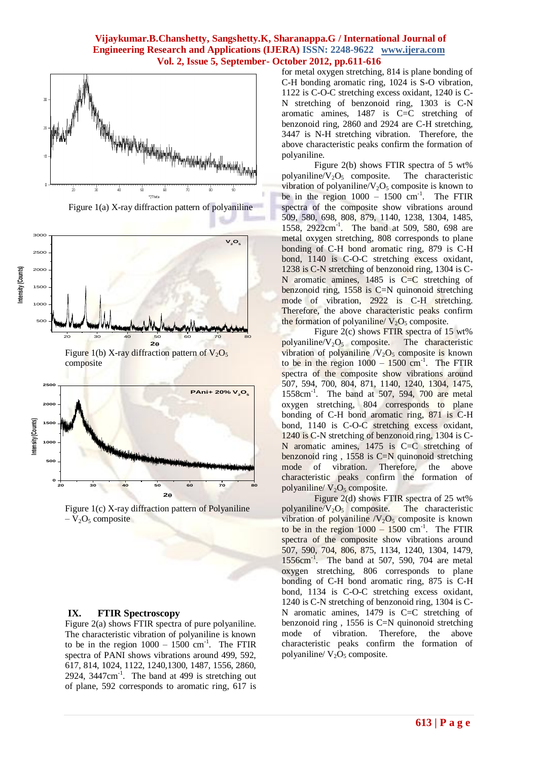

Figure 1(a) X-ray diffraction pattern of polyaniline



Figure 1(b) X-ray diffraction pattern of  $V_2O_5$ composite





#### **IX. FTIR Spectroscopy**

Figure 2(a) shows FTIR spectra of pure polyaniline. The characteristic vibration of polyaniline is known to be in the region  $1000 - 1500$  cm<sup>-1</sup>. The FTIR spectra of PANI shows vibrations around 499, 592, 617, 814, 1024, 1122, 1240,1300, 1487, 1556, 2860,  $2924$ ,  $3447$ cm<sup>-1</sup>. The band at  $499$  is stretching out of plane, 592 corresponds to aromatic ring, 617 is

for metal oxygen stretching, 814 is plane bonding of C-H bonding aromatic ring, 1024 is S-O vibration, 1122 is C-O-C stretching excess oxidant, 1240 is C-N stretching of benzonoid ring, 1303 is C-N aromatic amines, 1487 is C=C stretching of benzonoid ring, 2860 and 2924 are C-H stretching, 3447 is N-H stretching vibration. Therefore, the above characteristic peaks confirm the formation of polyaniline.

Figure 2(b) shows FTIR spectra of 5 wt% polyaniline/ $V_2O_5$  composite. The characteristic vibration of polyaniline/ $V_2O_5$  composite is known to be in the region  $1000 - 1500$  cm<sup>-1</sup>. The FTIR spectra of the composite show vibrations around 509, 580, 698, 808, 879, 1140, 1238, 1304, 1485, 1558, 2922cm-1 . The band at 509, 580, 698 are metal oxygen stretching, 808 corresponds to plane bonding of C-H bond aromatic ring, 879 is C-H bond, 1140 is C-O-C stretching excess oxidant, 1238 is C-N stretching of benzonoid ring, 1304 is C-N aromatic amines,  $1485$  is C=C stretching of benzonoid ring, 1558 is C=N quinonoid stretching mode of vibration, 2922 is C-H stretching. Therefore, the above characteristic peaks confirm the formation of polyaniline/  $V_2O_5$  composite.

Figure 2(c) shows FTIR spectra of 15 wt% polyaniline/ $V_2O_5$  composite. The characteristic vibration of polyaniline  $/V_2O_5$  composite is known to be in the region  $1000 - 1500$  cm<sup>-1</sup>. The FTIR spectra of the composite show vibrations around 507, 594, 700, 804, 871, 1140, 1240, 1304, 1475, 1558cm-1 . The band at 507, 594, 700 are metal oxygen stretching, 804 corresponds to plane bonding of C-H bond aromatic ring, 871 is C-H bond, 1140 is C-O-C stretching excess oxidant, 1240 is C-N stretching of benzonoid ring, 1304 is C-N aromatic amines, 1475 is C=C stretching of benzonoid ring,  $1558$  is C=N quinonoid stretching mode of vibration. Therefore, the above characteristic peaks confirm the formation of polyaniline/ $V_2O_5$  composite.

Figure 2(d) shows FTIR spectra of 25 wt% polyaniline/ $V_2O_5$  composite. The characteristic vibration of polyaniline  $/V_2O_5$  composite is known to be in the region  $1000 - 1500$  cm<sup>-1</sup>. The FTIR spectra of the composite show vibrations around 507, 590, 704, 806, 875, 1134, 1240, 1304, 1479, 1556cm-1 . The band at 507, 590, 704 are metal oxygen stretching, 806 corresponds to plane bonding of C-H bond aromatic ring, 875 is C-H bond, 1134 is C-O-C stretching excess oxidant, 1240 is C-N stretching of benzonoid ring, 1304 is C-N aromatic amines, 1479 is C=C stretching of benzonoid ring , 1556 is C=N quinonoid stretching mode of vibration. Therefore, the above characteristic peaks confirm the formation of polyaniline/ $V_2O_5$  composite.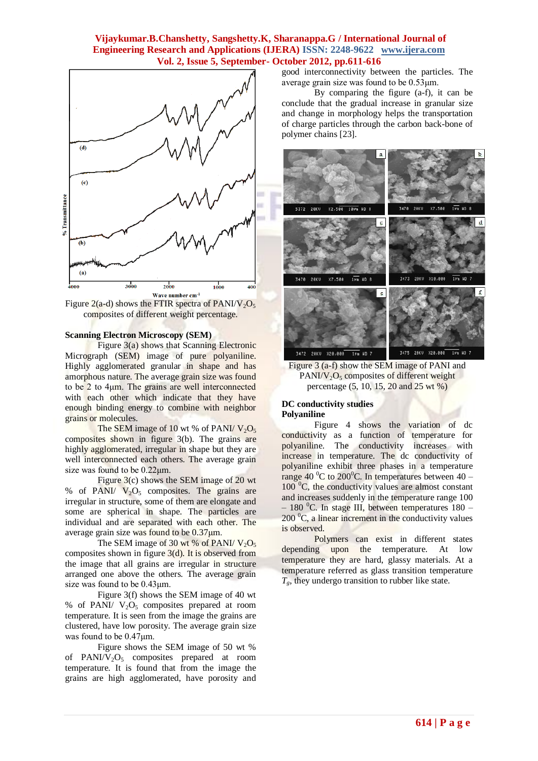

Figure 2(a-d) shows the FTIR spectra of PANI/V<sub>2</sub>O<sub>5</sub> composites of different weight percentage.

#### **Scanning Electron Microscopy (SEM)**

Figure 3(a) shows that Scanning Electronic Micrograph (SEM) image of pure polyaniline. Highly agglomerated granular in shape and has amorphous nature. The average grain size was found to be 2 to 4μm. The grains are well interconnected with each other which indicate that they have enough binding energy to combine with neighbor grains or molecules.

The SEM image of 10 wt % of PANI/  $V_2O_5$ composites shown in figure 3(b). The grains are highly agglomerated, irregular in shape but they are well interconnected each others. The average grain size was found to be 0.22μm.

Figure 3(c) shows the SEM image of 20 wt % of PANI/  $V_2O_5$  composites. The grains are irregular in structure, some of them are elongate and some are spherical in shape. The particles are individual and are separated with each other. The average grain size was found to be 0.37μm.

The SEM image of 30 wt % of PANI/  $V_2O_5$ composites shown in figure  $3(d)$ . It is observed from the image that all grains are irregular in structure arranged one above the others. The average grain size was found to be 0.43μm.

Figure 3(f) shows the SEM image of 40 wt % of PANI/  $V_2O_5$  composites prepared at room temperature. It is seen from the image the grains are clustered, have low porosity. The average grain size was found to be 0.47μm.

Figure shows the SEM image of 50 wt % of PANI/ $V_2O_5$  composites prepared at room temperature. It is found that from the image the grains are high agglomerated, have porosity and

good interconnectivity between the particles. The average grain size was found to be 0.53μm.

By comparing the figure (a-f), it can be conclude that the gradual increase in granular size and change in morphology helps the transportation of charge particles through the carbon back-bone of polymer chains [23].



Figure 3 (a-f) show the SEM image of PANI and  $PANI/V<sub>2</sub>O<sub>5</sub>$  composites of different weight percentage (5, 10, 15, 20 and 25 wt %)

#### **DC conductivity studies Polyaniline**

Figure 4 shows the variation of dc conductivity as a function of temperature for polyaniline. The conductivity increases with increase in temperature. The dc conductivity of polyaniline exhibit three phases in a temperature range 40  $^{\circ}$ C to 200 $^{\circ}$ C. In temperatures between 40 –  $100<sup>0</sup>C$ , the conductivity values are almost constant and increases suddenly in the temperature range 100 – 180 <sup>o</sup>C. In stage III, between temperatures 180 –  $200<sup>0</sup>C$ , a linear increment in the conductivity values is observed.

Polymers can exist in different states depending upon the temperature. At low temperature they are hard, glassy materials. At a temperature referred as glass transition temperature *Tg*, they undergo transition to rubber like state.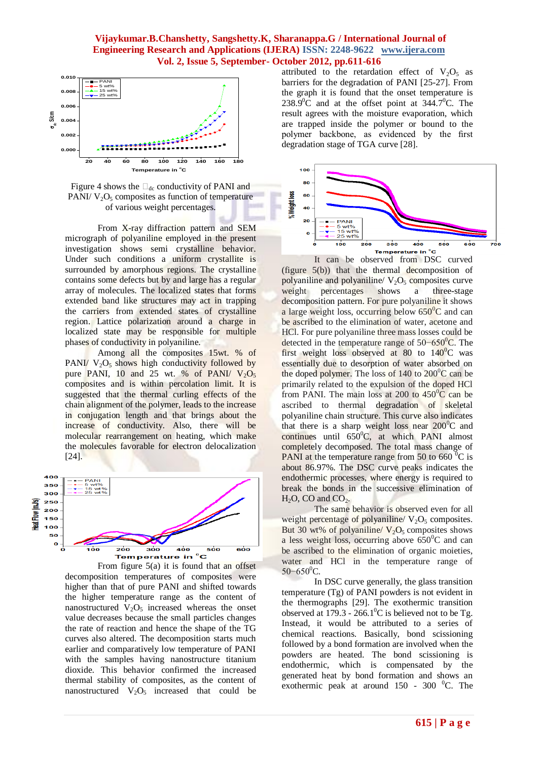

Figure 4 shows the  $\Box_{dc}$  conductivity of PANI and PANI/  $V_2O_5$  composites as function of temperature of various weight percentages.

From X-ray diffraction pattern and SEM micrograph of polyaniline employed in the present investigation shows semi crystalline behavior. Under such conditions a uniform crystallite is surrounded by amorphous regions. The crystalline contains some defects but by and large has a regular array of molecules. The localized states that forms extended band like structures may act in trapping the carriers from extended states of crystalline region. Lattice polarization around a charge in localized state may be responsible for multiple phases of conductivity in polyaniline.

Among all the composites 15wt. % of PANI/  $V_2O_5$  shows high conductivity followed by pure PANI, 10 and 25 wt. % of PANI/  $V_2O_5$ composites and is within percolation limit. It is suggested that the thermal curling effects of the chain alignment of the polymer, leads to the increase in conjugation length and that brings about the increase of conductivity. Also, there will be molecular rearrangement on heating, which make the molecules favorable for electron delocalization [24].



From figure  $5(a)$  it is found that an offset decomposition temperatures of composites were higher than that of pure PANI and shifted towards the higher temperature range as the content of nanostructured  $V_2O_5$  increased whereas the onset value decreases because the small particles changes the rate of reaction and hence the shape of the TG curves also altered. The decomposition starts much earlier and comparatively low temperature of PANI with the samples having nanostructure titanium dioxide. This behavior confirmed the increased thermal stability of composites, as the content of nanostructured  $V_2O_5$  increased that could be attributed to the retardation effect of  $V_2O_5$  as barriers for the degradation of PANI [25-27]. From the graph it is found that the onset temperature is 238.9 $\degree$ C and at the offset point at 344.7 $\degree$ C. The result agrees with the moisture evaporation, which are trapped inside the polymer or bound to the polymer backbone, as evidenced by the first degradation stage of TGA curve [28].



(figure 5(b)) that the thermal decomposition of polyaniline and polyaniline/ $V_2O_5$  composites curve weight percentages shows a three-stage decomposition pattern. For pure polyaniline it shows a large weight loss, occurring below  $650^{\circ}$ C and can be ascribed to the elimination of water, acetone and HCl. For pure polyaniline three mass losses could be detected in the temperature range of  $50-650^{\circ}$ C. The first weight loss observed at 80 to  $140^{\circ}$ C was essentially due to desorption of water absorbed on the doped polymer. The loss of  $140$  to  $200^{\circ}$ C can be primarily related to the expulsion of the doped HCl from PANI. The main loss at 200 to  $450^{\circ}$ C can be ascribed to thermal degradation of skeletal polyaniline chain structure. This curve also indicates that there is a sharp weight loss near  $200^{\circ}$ C and continues until  $650^{\circ}$ C, at which PANI almost completely decomposed. The total mass change of PANI at the temperature range from 50 to 660 $\mathrm{^{0}C}$  is about 86.97%. The DSC curve peaks indicates the endothermic processes, where energy is required to break the bonds in the successive elimination of  $H_2O$ , CO and CO<sub>2</sub>.

The same behavior is observed even for all weight percentage of polyaniline/  $V_2O_5$  composites. But 30 wt% of polyaniline/  $V_2O_5$  composites shows a less weight loss, occurring above  $650^{\circ}$ C and can be ascribed to the elimination of organic moieties, water and HCl in the temperature range of  $50-650$ <sup>o</sup>C.

In DSC curve generally, the glass transition temperature (Tg) of PANI powders is not evident in the thermographs [29]. The exothermic transition observed at  $179.3 - 266.1^{\circ}$ C is believed not to be Tg. Instead, it would be attributed to a series of chemical reactions. Basically, bond scissioning followed by a bond formation are involved when the powders are heated. The bond scissioning is endothermic, which is compensated by the generated heat by bond formation and shows an exothermic peak at around  $150 - 300$  °C. The